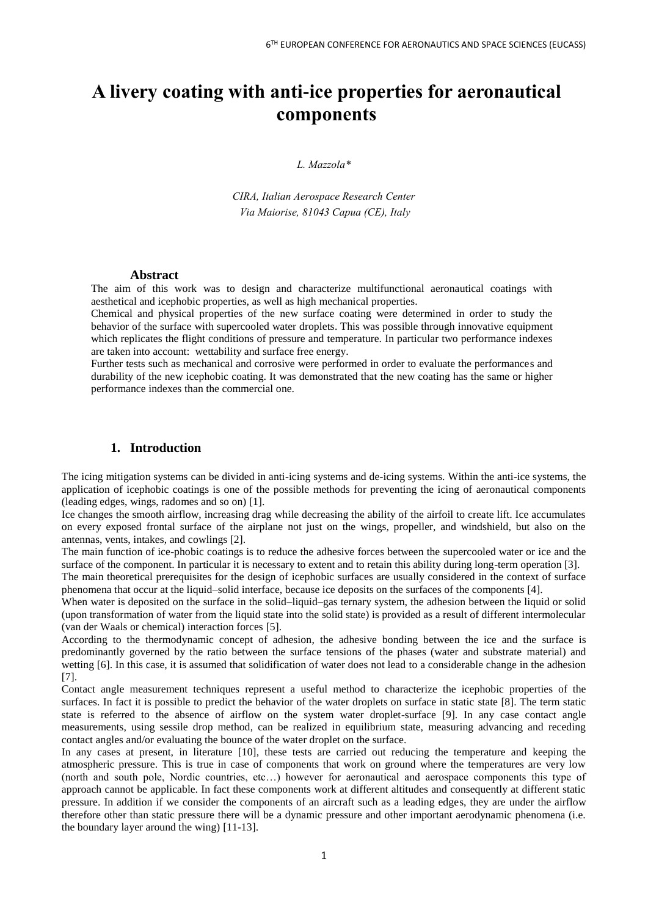# **A livery coating with anti-ice properties for aeronautical components**

*L. Mazzola\**

*CIRA, Italian Aerospace Research Center Via Maiorise, 81043 Capua (CE), Italy*

#### **Abstract**

The aim of this work was to design and characterize multifunctional aeronautical coatings with aesthetical and icephobic properties, as well as high mechanical properties.

Chemical and physical properties of the new surface coating were determined in order to study the behavior of the surface with supercooled water droplets. This was possible through innovative equipment which replicates the flight conditions of pressure and temperature. In particular two performance indexes are taken into account: wettability and surface free energy.

Further tests such as mechanical and corrosive were performed in order to evaluate the performances and durability of the new icephobic coating. It was demonstrated that the new coating has the same or higher performance indexes than the commercial one.

# **1. Introduction**

The icing mitigation systems can be divided in anti-icing systems and de-icing systems. Within the anti-ice systems, the application of icephobic coatings is one of the possible methods for preventing the icing of aeronautical components (leading edges, wings, radomes and so on) [1].

Ice changes the smooth airflow, increasing drag while decreasing the ability of the airfoil to create lift. Ice accumulates on every exposed frontal surface of the airplane not just on the wings, propeller, and windshield, but also on the antennas, vents, intakes, and cowlings [2].

The main function of ice-phobic coatings is to reduce the adhesive forces between the supercooled water or ice and the surface of the component. In particular it is necessary to extent and to retain this ability during long-term operation [3].

The main theoretical prerequisites for the design of icephobic surfaces are usually considered in the context of surface phenomena that occur at the liquid–solid interface, because ice deposits on the surfaces of the components [4].

When water is deposited on the surface in the solid–liquid–gas ternary system, the adhesion between the liquid or solid (upon transformation of water from the liquid state into the solid state) is provided as a result of different intermolecular (van der Waals or chemical) interaction forces [5].

According to the thermodynamic concept of adhesion, the adhesive bonding between the ice and the surface is predominantly governed by the ratio between the surface tensions of the phases (water and substrate material) and wetting [6]. In this case, it is assumed that solidification of water does not lead to a considerable change in the adhesion [7].

Contact angle measurement techniques represent a useful method to characterize the icephobic properties of the surfaces. In fact it is possible to predict the behavior of the water droplets on surface in static state [8]. The term static state is referred to the absence of airflow on the system water droplet-surface [9]. In any case contact angle measurements, using sessile drop method, can be realized in equilibrium state, measuring advancing and receding contact angles and/or evaluating the bounce of the water droplet on the surface.

In any cases at present, in literature [10], these tests are carried out reducing the temperature and keeping the atmospheric pressure. This is true in case of components that work on ground where the temperatures are very low (north and south pole, Nordic countries, etc…) however for aeronautical and aerospace components this type of approach cannot be applicable. In fact these components work at different altitudes and consequently at different static pressure. In addition if we consider the components of an aircraft such as a leading edges, they are under the airflow therefore other than static pressure there will be a dynamic pressure and other important aerodynamic phenomena (i.e. the boundary layer around the wing) [11-13].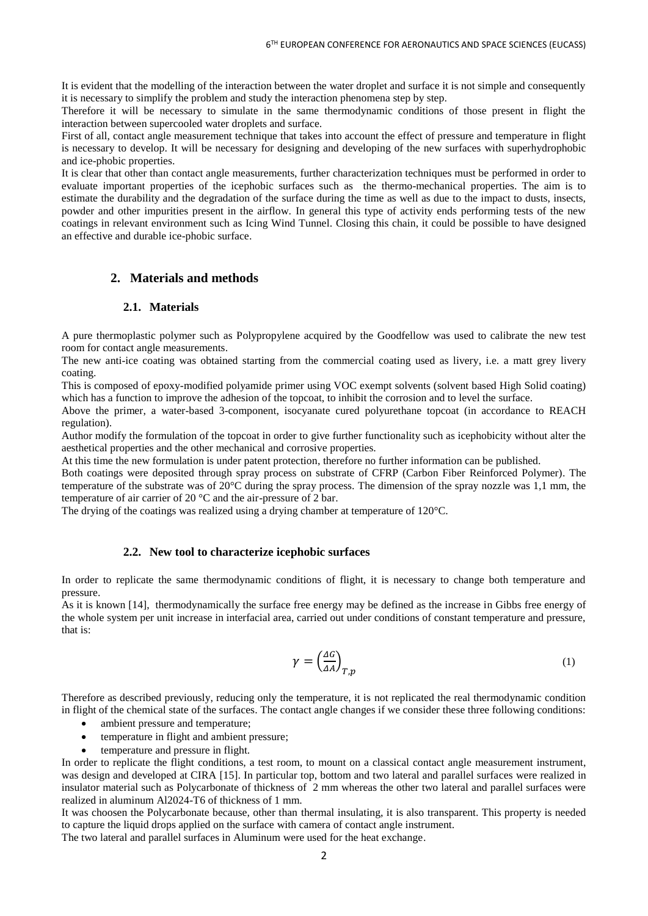It is evident that the modelling of the interaction between the water droplet and surface it is not simple and consequently it is necessary to simplify the problem and study the interaction phenomena step by step.

Therefore it will be necessary to simulate in the same thermodynamic conditions of those present in flight the interaction between supercooled water droplets and surface.

First of all, contact angle measurement technique that takes into account the effect of pressure and temperature in flight is necessary to develop. It will be necessary for designing and developing of the new surfaces with superhydrophobic and ice-phobic properties.

It is clear that other than contact angle measurements, further characterization techniques must be performed in order to evaluate important properties of the icephobic surfaces such as the thermo-mechanical properties. The aim is to estimate the durability and the degradation of the surface during the time as well as due to the impact to dusts, insects, powder and other impurities present in the airflow. In general this type of activity ends performing tests of the new coatings in relevant environment such as Icing Wind Tunnel. Closing this chain, it could be possible to have designed an effective and durable ice-phobic surface.

# **2. Materials and methods**

#### **2.1. Materials**

A pure thermoplastic polymer such as Polypropylene acquired by the Goodfellow was used to calibrate the new test room for contact angle measurements.

The new anti-ice coating was obtained starting from the commercial coating used as livery, i.e. a matt grey livery coating.

This is composed of epoxy-modified polyamide primer using VOC exempt solvents (solvent based High Solid coating) which has a function to improve the adhesion of the topcoat, to inhibit the corrosion and to level the surface.

Above the primer, a water-based 3-component, isocyanate cured polyurethane topcoat (in accordance to REACH regulation).

Author modify the formulation of the topcoat in order to give further functionality such as icephobicity without alter the aesthetical properties and the other mechanical and corrosive properties.

At this time the new formulation is under patent protection, therefore no further information can be published.

Both coatings were deposited through spray process on substrate of CFRP (Carbon Fiber Reinforced Polymer). The temperature of the substrate was of 20°C during the spray process. The dimension of the spray nozzle was 1,1 mm, the temperature of air carrier of 20 °C and the air-pressure of 2 bar.

The drying of the coatings was realized using a drying chamber at temperature of 120°C.

#### **2.2. New tool to characterize icephobic surfaces**

In order to replicate the same thermodynamic conditions of flight, it is necessary to change both temperature and pressure.

As it is known [14], thermodynamically the surface free energy may be defined as the increase in Gibbs free energy of the whole system per unit increase in interfacial area, carried out under conditions of constant temperature and pressure, that is:

$$
\gamma = \left(\frac{\Delta G}{\Delta A}\right)_{T,p} \tag{1}
$$

Therefore as described previously, reducing only the temperature, it is not replicated the real thermodynamic condition in flight of the chemical state of the surfaces. The contact angle changes if we consider these three following conditions:

- ambient pressure and temperature:
- temperature in flight and ambient pressure;
- temperature and pressure in flight.

In order to replicate the flight conditions, a test room, to mount on a classical contact angle measurement instrument, was design and developed at CIRA [15]. In particular top, bottom and two lateral and parallel surfaces were realized in insulator material such as Polycarbonate of thickness of 2 mm whereas the other two lateral and parallel surfaces were realized in aluminum Al2024-T6 of thickness of 1 mm.

It was choosen the Polycarbonate because, other than thermal insulating, it is also transparent. This property is needed to capture the liquid drops applied on the surface with camera of contact angle instrument. The two lateral and parallel surfaces in Aluminum were used for the heat exchange.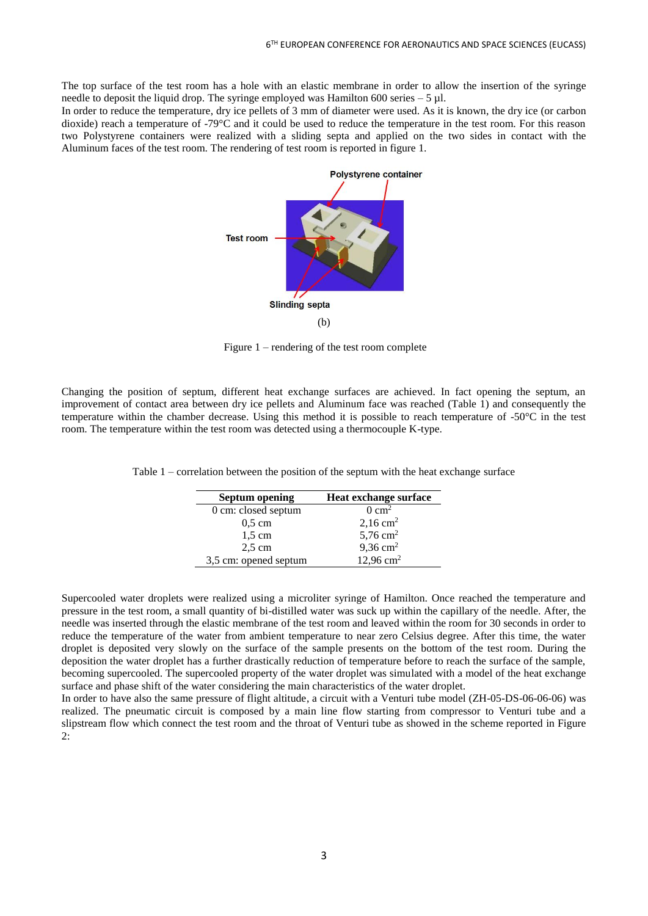The top surface of the test room has a hole with an elastic membrane in order to allow the insertion of the syringe needle to deposit the liquid drop. The syringe employed was Hamilton 600 series – 5  $\mu$ l.

In order to reduce the temperature, dry ice pellets of 3 mm of diameter were used. As it is known, the dry ice (or carbon dioxide) reach a temperature of -79°C and it could be used to reduce the temperature in the test room. For this reason two Polystyrene containers were realized with a sliding septa and applied on the two sides in contact with the Aluminum faces of the test room. The rendering of test room is reported in figure 1.



Figure 1 – rendering of the test room complete

Changing the position of septum, different heat exchange surfaces are achieved. In fact opening the septum, an improvement of contact area between dry ice pellets and Aluminum face was reached (Table 1) and consequently the temperature within the chamber decrease. Using this method it is possible to reach temperature of -50°C in the test room. The temperature within the test room was detected using a thermocouple K-type.

| <b>Septum opening</b> | <b>Heat exchange surface</b> |
|-----------------------|------------------------------|
| 0 cm: closed septum   | $0 \text{ cm}^2$             |
| $0.5 \text{ cm}$      | $2,16$ cm <sup>2</sup>       |
| $1.5 \text{ cm}$      | 5,76 $cm2$                   |
| $2,5$ cm              | $9,36$ cm <sup>2</sup>       |
| 3,5 cm: opened septum | $12,96$ cm <sup>2</sup>      |

Table 1 – correlation between the position of the septum with the heat exchange surface

Supercooled water droplets were realized using a microliter syringe of Hamilton. Once reached the temperature and pressure in the test room, a small quantity of bi-distilled water was suck up within the capillary of the needle. After, the needle was inserted through the elastic membrane of the test room and leaved within the room for 30 seconds in order to reduce the temperature of the water from ambient temperature to near zero Celsius degree. After this time, the water droplet is deposited very slowly on the surface of the sample presents on the bottom of the test room. During the deposition the water droplet has a further drastically reduction of temperature before to reach the surface of the sample, becoming supercooled. The supercooled property of the water droplet was simulated with a model of the heat exchange surface and phase shift of the water considering the main characteristics of the water droplet.

In order to have also the same pressure of flight altitude, a circuit with a Venturi tube model (ZH-05-DS-06-06-06) was realized. The pneumatic circuit is composed by a main line flow starting from compressor to Venturi tube and a slipstream flow which connect the test room and the throat of Venturi tube as showed in the scheme reported in Figure 2: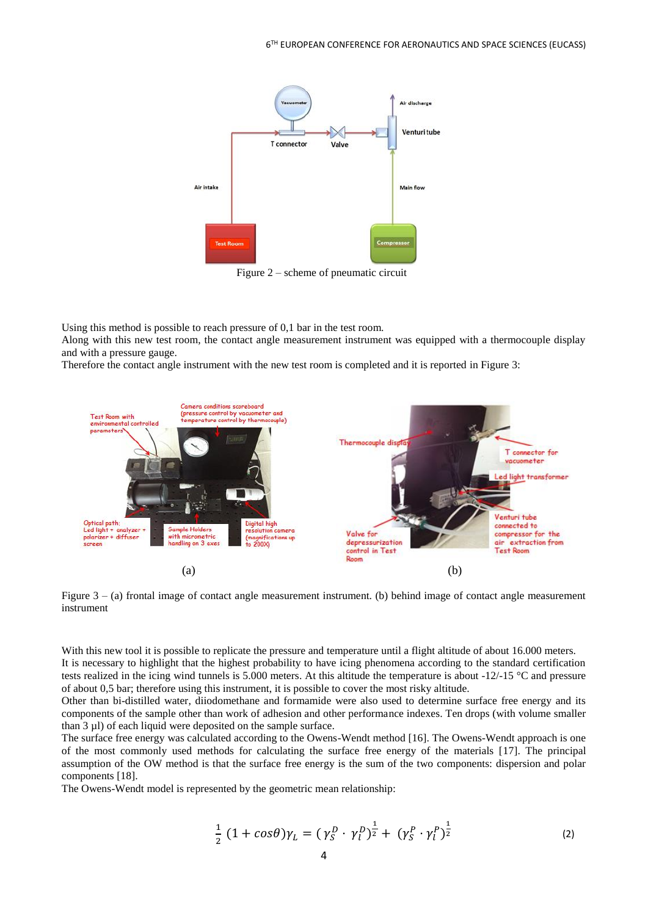

Figure 2 – scheme of pneumatic circuit

Using this method is possible to reach pressure of 0,1 bar in the test room.

Along with this new test room, the contact angle measurement instrument was equipped with a thermocouple display and with a pressure gauge.

Therefore the contact angle instrument with the new test room is completed and it is reported in Figure 3:



Figure 3 – (a) frontal image of contact angle measurement instrument. (b) behind image of contact angle measurement instrument

With this new tool it is possible to replicate the pressure and temperature until a flight altitude of about 16.000 meters. It is necessary to highlight that the highest probability to have icing phenomena according to the standard certification tests realized in the icing wind tunnels is 5.000 meters. At this altitude the temperature is about  $-12/-15$  °C and pressure of about 0,5 bar; therefore using this instrument, it is possible to cover the most risky altitude.

Other than bi-distilled water, diiodomethane and formamide were also used to determine surface free energy and its components of the sample other than work of adhesion and other performance indexes. Ten drops (with volume smaller than 3 µl) of each liquid were deposited on the sample surface.

The surface free energy was calculated according to the Owens-Wendt method [16]. The Owens-Wendt approach is one of the most commonly used methods for calculating the surface free energy of the materials [17]. The principal assumption of the OW method is that the surface free energy is the sum of the two components: dispersion and polar components [18].

The Owens-Wendt model is represented by the geometric mean relationship:

$$
\frac{1}{2} (1 + cos \theta) \gamma_L = (\gamma_S^D \cdot \gamma_l^D)^{\frac{1}{2}} + (\gamma_S^P \cdot \gamma_l^P)^{\frac{1}{2}} \tag{2}
$$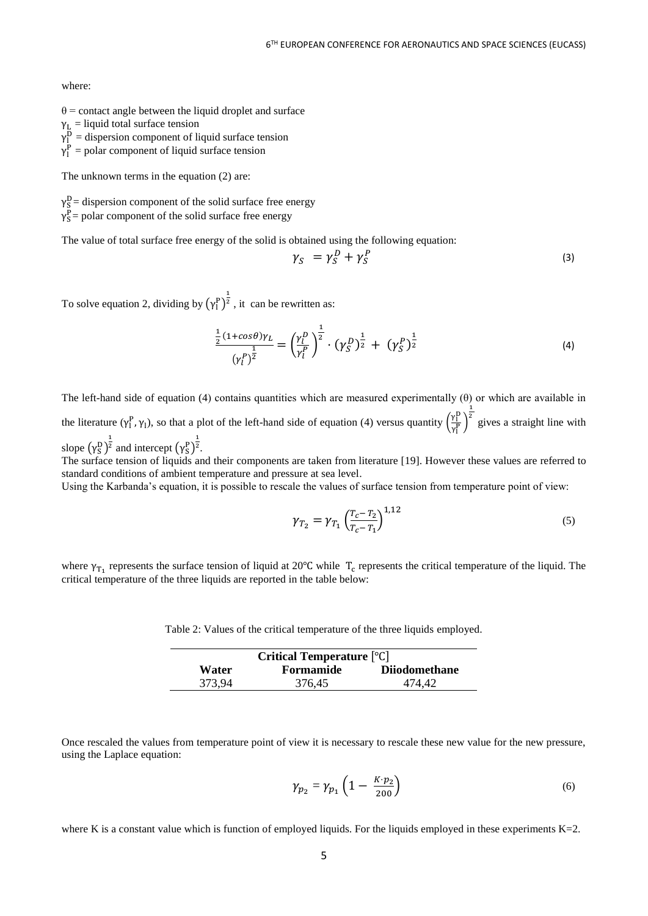where:

- $\theta$  = contact angle between the liquid droplet and surface
- $\gamma_L$  = liquid total surface tension
- $\gamma_1^D$  = dispersion component of liquid surface tension
- $\gamma_1^P$  = polar component of liquid surface tension

The unknown terms in the equation (2) are:

 $\gamma_S^D$  = dispersion component of the solid surface free energy

 $\gamma_S^P$  = polar component of the solid surface free energy

The value of total surface free energy of the solid is obtained using the following equation:

$$
\gamma_S = \gamma_S^D + \gamma_S^P \tag{3}
$$

To solve equation 2, dividing by  $(\gamma_1^{\rm p})^{\frac{1}{2}}$ , it can be rewritten as:

$$
\frac{\frac{1}{2}(1+cos\theta)\gamma_L}{(\gamma_l^p)^{\frac{1}{2}}} = \left(\frac{\gamma_l^p}{\gamma_l^p}\right)^{\frac{1}{2}} \cdot (\gamma_S^p)^{\frac{1}{2}} + (\gamma_S^p)^{\frac{1}{2}} \tag{4}
$$

The left-hand side of equation (4) contains quantities which are measured experimentally  $(\theta)$  or which are available in the literature  $(\gamma_1^P, \gamma_1)$ , so that a plot of the left-hand side of equation (4) versus quantity  $\left(\frac{\gamma_1^P}{\gamma_P^P}\right)$  $\frac{r_1}{\gamma_1^P}$  $\frac{1}{2}$  gives a straight line with slope  $(\gamma_S^D)^{\frac{1}{2}}$  and intercept  $(\gamma_S^P)^{\frac{1}{2}}$ .

The surface tension of liquids and their components are taken from literature [19]. However these values are referred to standard conditions of ambient temperature and pressure at sea level.

Using the Karbanda's equation, it is possible to rescale the values of surface tension from temperature point of view:

$$
\gamma_{T_2} = \gamma_{T_1} \left( \frac{T_c - T_2}{T_c - T_1} \right)^{1,12} \tag{5}
$$

where  $\gamma_{T_1}$  represents the surface tension of liquid at 20°C while  $T_c$  represents the critical temperature of the liquid. The critical temperature of the three liquids are reported in the table below:

Table 2: Values of the critical temperature of the three liquids employed.

| Critical Temperature $\lceil \circ \text{C} \rceil$ |                  |                      |
|-----------------------------------------------------|------------------|----------------------|
| <b>Water</b>                                        | <b>Formamide</b> | <b>Diiodomethane</b> |
| 373.94                                              | 376.45           | 474.42               |

Once rescaled the values from temperature point of view it is necessary to rescale these new value for the new pressure, using the Laplace equation:

$$
\gamma_{p_2} = \gamma_{p_1} \left( 1 - \frac{K \cdot p_2}{200} \right) \tag{6}
$$

where K is a constant value which is function of employed liquids. For the liquids employed in these experiments  $K=2$ .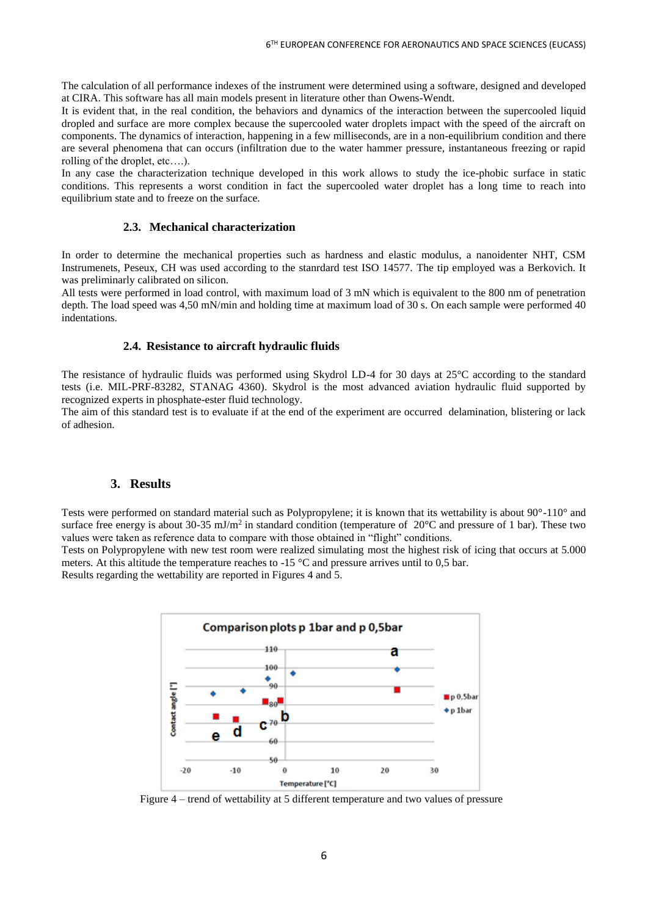The calculation of all performance indexes of the instrument were determined using a software, designed and developed at CIRA. This software has all main models present in literature other than Owens-Wendt.

It is evident that, in the real condition, the behaviors and dynamics of the interaction between the supercooled liquid dropled and surface are more complex because the supercooled water droplets impact with the speed of the aircraft on components. The dynamics of interaction, happening in a few milliseconds, are in a non-equilibrium condition and there are several phenomena that can occurs (infiltration due to the water hammer pressure, instantaneous freezing or rapid rolling of the droplet, etc….).

In any case the characterization technique developed in this work allows to study the ice-phobic surface in static conditions. This represents a worst condition in fact the supercooled water droplet has a long time to reach into equilibrium state and to freeze on the surface.

#### **2.3. Mechanical characterization**

In order to determine the mechanical properties such as hardness and elastic modulus, a nanoidenter NHT, CSM Instrumenets, Peseux, CH was used according to the stanrdard test ISO 14577. The tip employed was a Berkovich. It was preliminarly calibrated on silicon.

All tests were performed in load control, with maximum load of 3 mN which is equivalent to the 800 nm of penetration depth. The load speed was 4,50 mN/min and holding time at maximum load of 30 s. On each sample were performed 40 indentations.

#### **2.4. Resistance to aircraft hydraulic fluids**

The resistance of hydraulic fluids was performed using Skydrol LD-4 for 30 days at 25°C according to the standard tests (i.e. MIL-PRF-83282, STANAG 4360). Skydrol is the most advanced aviation hydraulic fluid supported by recognized experts in phosphate-ester fluid technology.

The aim of this standard test is to evaluate if at the end of the experiment are occurred delamination, blistering or lack of adhesion.

### **3. Results**

Tests were performed on standard material such as Polypropylene; it is known that its wettability is about 90°-110° and surface free energy is about 30-35 mJ/m<sup>2</sup> in standard condition (temperature of 20 $^{\circ}$ C and pressure of 1 bar). These two values were taken as reference data to compare with those obtained in "flight" conditions.

Tests on Polypropylene with new test room were realized simulating most the highest risk of icing that occurs at 5.000 meters. At this altitude the temperature reaches to  $-15 \degree C$  and pressure arrives until to 0,5 bar.

Results regarding the wettability are reported in Figures 4 and 5.



Figure 4 – trend of wettability at 5 different temperature and two values of pressure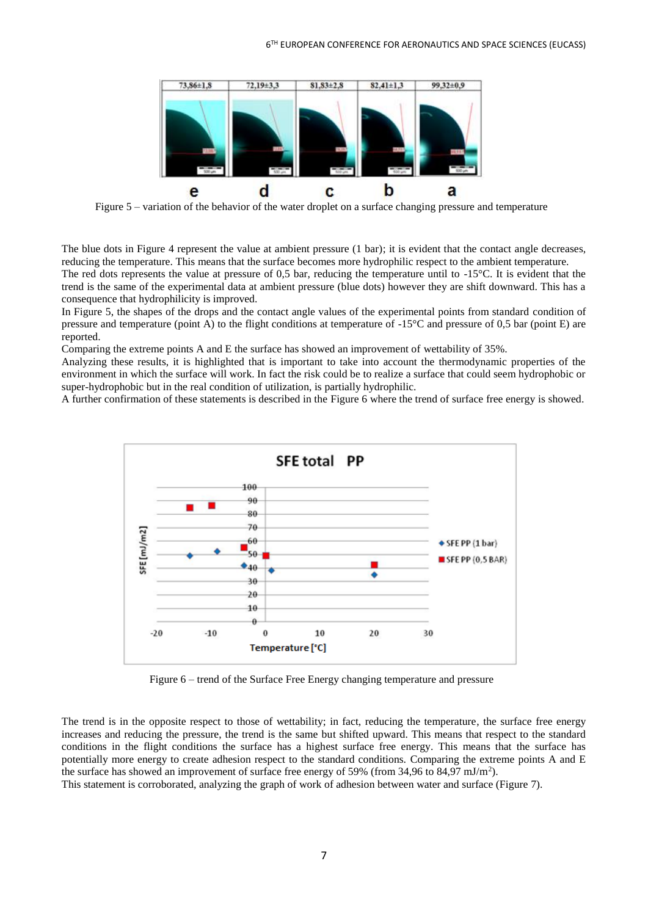

Figure 5 – variation of the behavior of the water droplet on a surface changing pressure and temperature

The blue dots in Figure 4 represent the value at ambient pressure (1 bar); it is evident that the contact angle decreases, reducing the temperature. This means that the surface becomes more hydrophilic respect to the ambient temperature. The red dots represents the value at pressure of 0,5 bar, reducing the temperature until to  $-15^{\circ}$ C. It is evident that the trend is the same of the experimental data at ambient pressure (blue dots) however they are shift downward. This has a consequence that hydrophilicity is improved.

In Figure 5, the shapes of the drops and the contact angle values of the experimental points from standard condition of pressure and temperature (point A) to the flight conditions at temperature of  $-15^{\circ}$ C and pressure of 0.5 bar (point E) are reported.

Comparing the extreme points A and E the surface has showed an improvement of wettability of 35%.

Analyzing these results, it is highlighted that is important to take into account the thermodynamic properties of the environment in which the surface will work. In fact the risk could be to realize a surface that could seem hydrophobic or super-hydrophobic but in the real condition of utilization, is partially hydrophilic.

A further confirmation of these statements is described in the Figure 6 where the trend of surface free energy is showed.



Figure 6 – trend of the Surface Free Energy changing temperature and pressure

The trend is in the opposite respect to those of wettability; in fact, reducing the temperature, the surface free energy increases and reducing the pressure, the trend is the same but shifted upward. This means that respect to the standard conditions in the flight conditions the surface has a highest surface free energy. This means that the surface has potentially more energy to create adhesion respect to the standard conditions. Comparing the extreme points A and E the surface has showed an improvement of surface free energy of 59% (from 34,96 to 84,97 mJ/m<sup>2</sup>).

This statement is corroborated, analyzing the graph of work of adhesion between water and surface (Figure 7).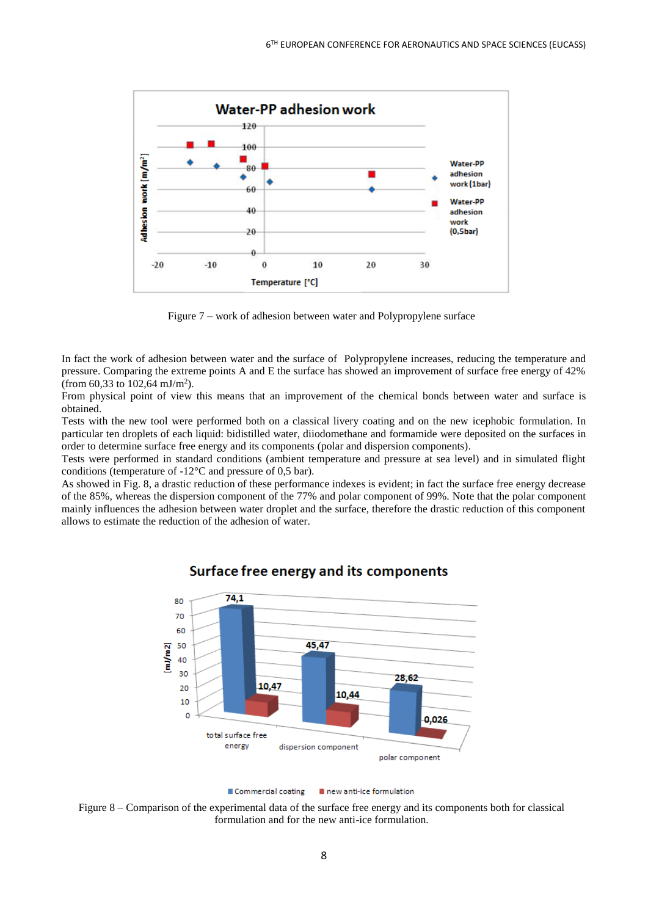

Figure 7 – work of adhesion between water and Polypropylene surface

In fact the work of adhesion between water and the surface of Polypropylene increases, reducing the temperature and pressure. Comparing the extreme points A and E the surface has showed an improvement of surface free energy of 42% (from 60,33 to 102,64 mJ/m<sup>2</sup>).

From physical point of view this means that an improvement of the chemical bonds between water and surface is obtained.

Tests with the new tool were performed both on a classical livery coating and on the new icephobic formulation. In particular ten droplets of each liquid: bidistilled water, diiodomethane and formamide were deposited on the surfaces in order to determine surface free energy and its components (polar and dispersion components).

Tests were performed in standard conditions (ambient temperature and pressure at sea level) and in simulated flight conditions (temperature of -12°C and pressure of 0,5 bar).

As showed in Fig. 8, a drastic reduction of these performance indexes is evident; in fact the surface free energy decrease of the 85%, whereas the dispersion component of the 77% and polar component of 99%. Note that the polar component mainly influences the adhesion between water droplet and the surface, therefore the drastic reduction of this component allows to estimate the reduction of the adhesion of water.



# Surface free energy and its components

Figure 8 – Comparison of the experimental data of the surface free energy and its components both for classical formulation and for the new anti-ice formulation.

Commercial coating new anti-ice formulation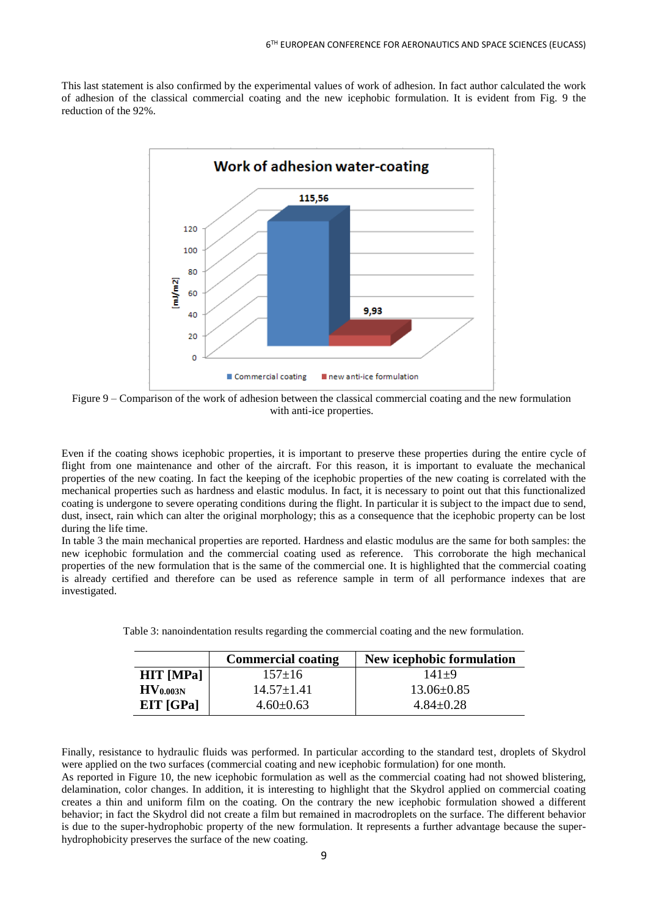This last statement is also confirmed by the experimental values of work of adhesion. In fact author calculated the work of adhesion of the classical commercial coating and the new icephobic formulation. It is evident from Fig. 9 the reduction of the 92%.



Figure 9 – Comparison of the work of adhesion between the classical commercial coating and the new formulation with anti-ice properties.

Even if the coating shows icephobic properties, it is important to preserve these properties during the entire cycle of flight from one maintenance and other of the aircraft. For this reason, it is important to evaluate the mechanical properties of the new coating. In fact the keeping of the icephobic properties of the new coating is correlated with the mechanical properties such as hardness and elastic modulus. In fact, it is necessary to point out that this functionalized coating is undergone to severe operating conditions during the flight. In particular it is subject to the impact due to send, dust, insect, rain which can alter the original morphology; this as a consequence that the icephobic property can be lost during the life time.

In table 3 the main mechanical properties are reported. Hardness and elastic modulus are the same for both samples: the new icephobic formulation and the commercial coating used as reference. This corroborate the high mechanical properties of the new formulation that is the same of the commercial one. It is highlighted that the commercial coating is already certified and therefore can be used as reference sample in term of all performance indexes that are investigated.

Table 3: nanoindentation results regarding the commercial coating and the new formulation.

|                      | <b>Commercial coating</b> | New icephobic formulation |
|----------------------|---------------------------|---------------------------|
| <b>HIT</b> [MPa]     | $157 \pm 16$              | $141+9$                   |
| HV <sub>0.003N</sub> | $14.57 \pm 1.41$          | $13.06 \pm 0.85$          |
| EIT [GPa]            | $4.60 \pm 0.63$           | $4.84 \pm 0.28$           |

Finally, resistance to hydraulic fluids was performed. In particular according to the standard test, droplets of Skydrol were applied on the two surfaces (commercial coating and new icephobic formulation) for one month.

As reported in Figure 10, the new icephobic formulation as well as the commercial coating had not showed blistering, delamination, color changes. In addition, it is interesting to highlight that the Skydrol applied on commercial coating creates a thin and uniform film on the coating. On the contrary the new icephobic formulation showed a different behavior; in fact the Skydrol did not create a film but remained in macrodroplets on the surface. The different behavior is due to the super-hydrophobic property of the new formulation. It represents a further advantage because the superhydrophobicity preserves the surface of the new coating.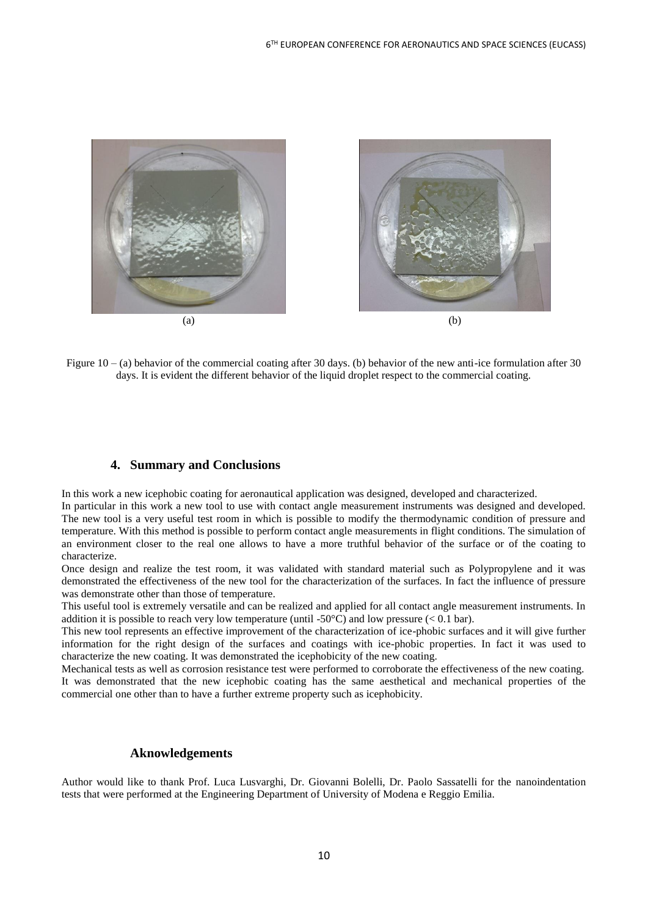

Figure  $10 - (a)$  behavior of the commercial coating after 30 days. (b) behavior of the new anti-ice formulation after 30 days. It is evident the different behavior of the liquid droplet respect to the commercial coating.

# **4. Summary and Conclusions**

In this work a new icephobic coating for aeronautical application was designed, developed and characterized.

In particular in this work a new tool to use with contact angle measurement instruments was designed and developed. The new tool is a very useful test room in which is possible to modify the thermodynamic condition of pressure and temperature. With this method is possible to perform contact angle measurements in flight conditions. The simulation of an environment closer to the real one allows to have a more truthful behavior of the surface or of the coating to characterize.

Once design and realize the test room, it was validated with standard material such as Polypropylene and it was demonstrated the effectiveness of the new tool for the characterization of the surfaces. In fact the influence of pressure was demonstrate other than those of temperature.

This useful tool is extremely versatile and can be realized and applied for all contact angle measurement instruments. In addition it is possible to reach very low temperature (until -50 $^{\circ}$ C) and low pressure (< 0.1 bar).

This new tool represents an effective improvement of the characterization of ice-phobic surfaces and it will give further information for the right design of the surfaces and coatings with ice-phobic properties. In fact it was used to characterize the new coating. It was demonstrated the icephobicity of the new coating.

Mechanical tests as well as corrosion resistance test were performed to corroborate the effectiveness of the new coating. It was demonstrated that the new icephobic coating has the same aesthetical and mechanical properties of the commercial one other than to have a further extreme property such as icephobicity.

#### **Aknowledgements**

Author would like to thank Prof. Luca Lusvarghi, Dr. Giovanni Bolelli, Dr. Paolo Sassatelli for the nanoindentation tests that were performed at the Engineering Department of University of Modena e Reggio Emilia.